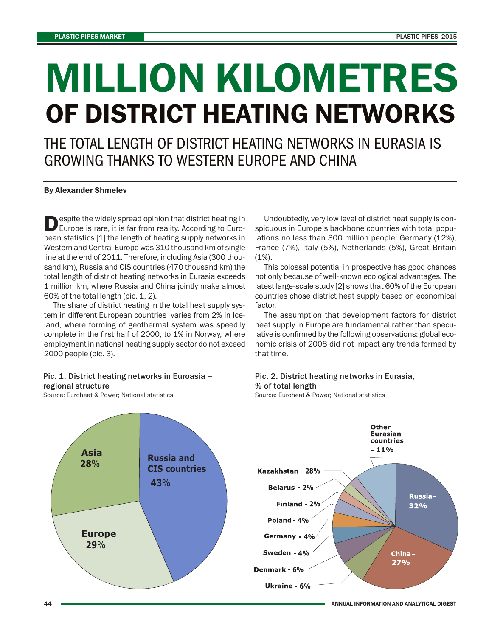# **MILLION KILOMETRES OF DISTRICT HEATING NETWORKS**

THE TOTAL LENGTH OF DISTRICT HEATING NETWORKS IN EURASIA IS GROWING THANKS TO WESTERN EUROPE AND CHINA

#### **By Alexander Shmelev**

**D**espite the widely spread opinion that district heating in<br>Europe is rare, it is far from reality. According to European statistics [1] the length of heating supply networks in Western and Central Europe was 310 thousand km of single line at the end of 2011. Therefore, including Asia (300 thousand km), Russia and CIS countries (470 thousand km) the total length of district heating networks in Eurasia exceeds 1 million km, where Russia and China jointly make almost 60% of the total length (pic. 1, 2).

The share of district heating in the total heat supply system in different European countries varies from 2% in Iceland, where forming of geothermal system was speedily complete in the first half of 2000, to 1% in Norway, where employment in national heating supply sector do not exceed 2000 people (pic. 3).

### Pic. 1. District heating networks in Euroasia – regional structure

Source: Euroheat & Power; National statistics

Undoubtedly, very low level of district heat supply is conspicuous in Europe's backbone countries with total populations no less than 300 million people: Germany (12%), France (7%), Italy (5%), Netherlands (5%), Great Britain (1%).

This colossal potential in prospective has good chances not only because of well-known ecological advantages. The latest large-scale study [2] shows that 60% of the European countries chose district heat supply based on economical factor.

The assumption that development factors for district heat supply in Europe are fundamental rather than speculative is confirmed by the following observations: global economic crisis of 2008 did not impact any trends formed by that time.

#### Pic. 2. District heating networks in Eurasia, % of total length

Source: Euroheat & Power; National statistics